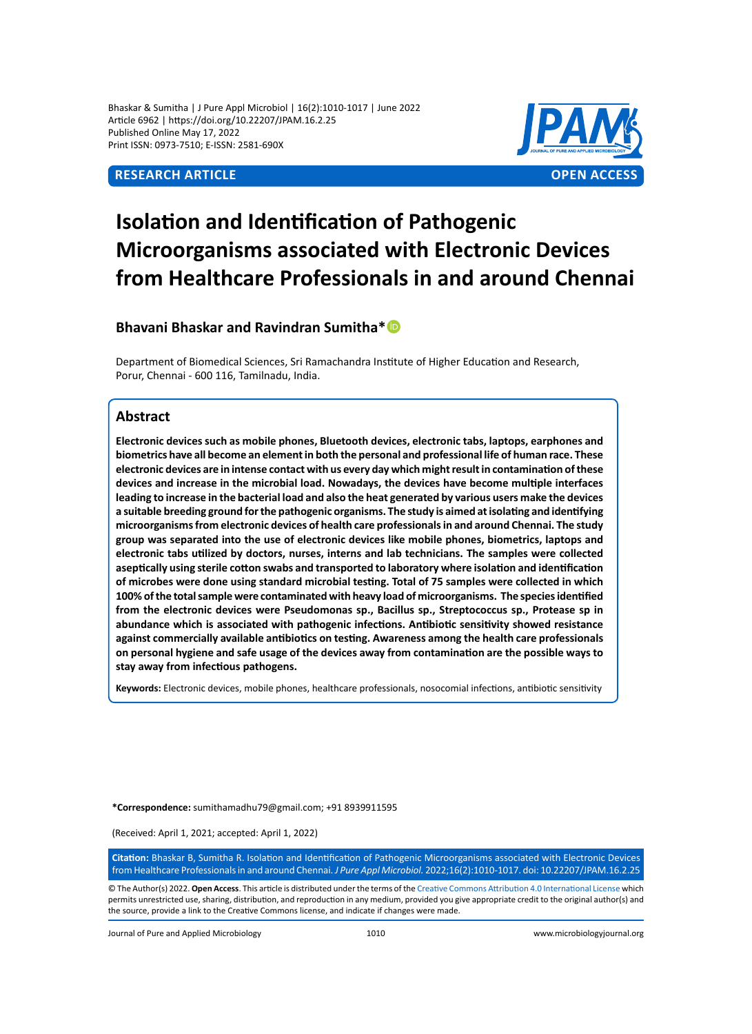Bhaskar & Sumitha | J Pure Appl Microbiol | 16(2):1010-1017 | June 2022 Article 6962 | https://doi.org/10.22207/JPAM.16.2.25 Published Online May 17, 2022 Print ISSN: 0973-7510; E-ISSN: 2581-690X



# **Isolation and Identification of Pathogenic Microorganisms associated with Electronic Devices from Healthcare Professionals in and around Chennai**

## **Bhavani Bhaskar and Ravindran Sumitha\***

Department of Biomedical Sciences, Sri Ramachandra Institute of Higher Education and Research, Porur, Chennai - 600 116, Tamilnadu, India.

### **Abstract**

**Electronic devices such as mobile phones, Bluetooth devices, electronic tabs, laptops, earphones and biometrics have all become an element in both the personal and professional life of human race. These electronic devices are in intense contact with us every day which might result in contamination of these devices and increase in the microbial load. Nowadays, the devices have become multiple interfaces leading to increase in the bacterial load and also the heat generated by various users make the devices a suitable breeding ground for the pathogenic organisms. The study is aimed at isolating and identifying microorganisms from electronic devices of health care professionals in and around Chennai. The study group was separated into the use of electronic devices like mobile phones, biometrics, laptops and electronic tabs utilized by doctors, nurses, interns and lab technicians. The samples were collected aseptically using sterile cotton swabs and transported to laboratory where isolation and identification of microbes were done using standard microbial testing. Total of 75 samples were collected in which 100% of the total sample were contaminated with heavy load of microorganisms. The species identified from the electronic devices were Pseudomonas sp., Bacillus sp., Streptococcus sp., Protease sp in abundance which is associated with pathogenic infections. Antibiotic sensitivity showed resistance against commercially available antibiotics on testing. Awareness among the health care professionals on personal hygiene and safe usage of the devices away from contamination are the possible ways to stay away from infectious pathogens.** 

**Keywords:** Electronic devices, mobile phones, healthcare professionals, nosocomial infections, antibiotic sensitivity

**\*Correspondence:** sumithamadhu79@gmail.com; +91 8939911595

(Received: April 1, 2021; accepted: April 1, 2022)

**Citation:** Bhaskar B, Sumitha R. Isolation and Identification of Pathogenic Microorganisms associated with Electronic Devices from Healthcare Professionals in and around Chennai. *J Pure Appl Microbiol.* 2022;16(2):1010-1017. doi: 10.22207/JPAM.16.2.25

© The Author(s) 2022. **Open Access**. This article is distributed under the terms of the [Creative Commons Attribution 4.0 International License](https://creativecommons.org/licenses/by/4.0/) which permits unrestricted use, sharing, distribution, and reproduction in any medium, provided you give appropriate credit to the original author(s) and the source, provide a link to the Creative Commons license, and indicate if changes were made.

Journal of Pure and Applied Microbiology 1010 www.microbiologyjournal.org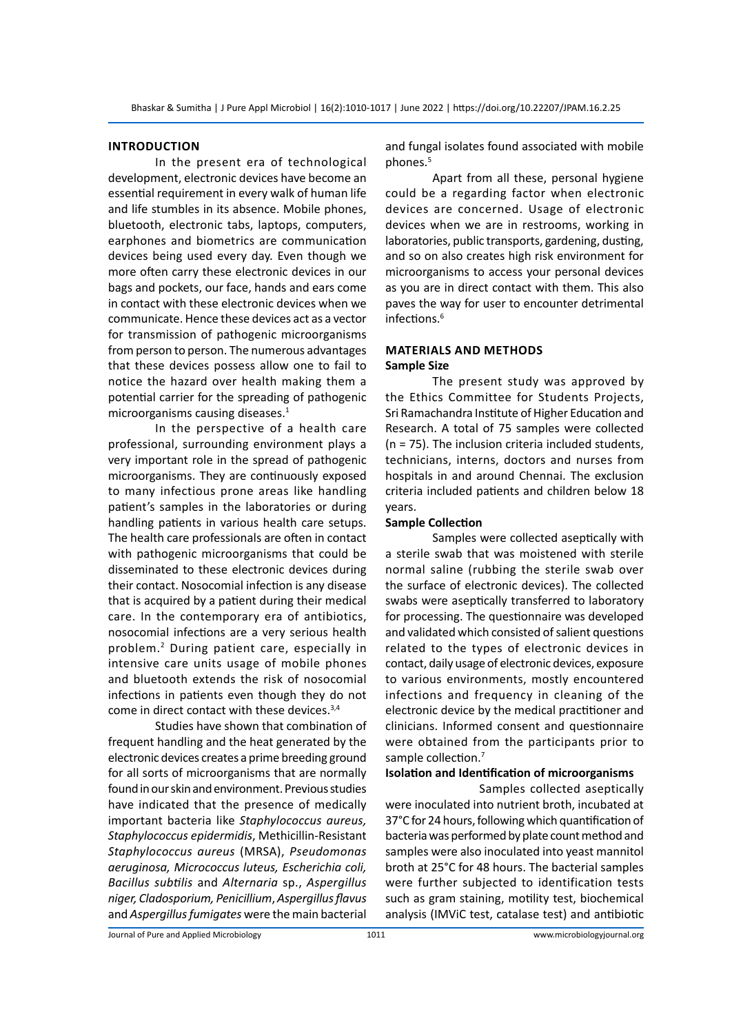#### **Introduction**

In the present era of technological development, electronic devices have become an essential requirement in every walk of human life and life stumbles in its absence. Mobile phones, bluetooth, electronic tabs, laptops, computers, earphones and biometrics are communication devices being used every day. Even though we more often carry these electronic devices in our bags and pockets, our face, hands and ears come in contact with these electronic devices when we communicate. Hence these devices act as a vector for transmission of pathogenic microorganisms from person to person. The numerous advantages that these devices possess allow one to fail to notice the hazard over health making them a potential carrier for the spreading of pathogenic microorganisms causing diseases.<sup>1</sup>

In the perspective of a health care professional, surrounding environment plays a very important role in the spread of pathogenic microorganisms. They are continuously exposed to many infectious prone areas like handling patient's samples in the laboratories or during handling patients in various health care setups. The health care professionals are often in contact with pathogenic microorganisms that could be disseminated to these electronic devices during their contact. Nosocomial infection is any disease that is acquired by a patient during their medical care. In the contemporary era of antibiotics, nosocomial infections are a very serious health problem.<sup>2</sup> During patient care, especially in intensive care units usage of mobile phones and bluetooth extends the risk of nosocomial infections in patients even though they do not come in direct contact with these devices.3,4

Studies have shown that combination of frequent handling and the heat generated by the electronic devices creates a prime breeding ground for all sorts of microorganisms that are normally found in our skin and environment. Previous studies have indicated that the presence of medically important bacteria like *Staphylococcus aureus, Staphylococcus epidermidis*, Methicillin-Resistant *Staphylococcus aureus* (MRSA), *Pseudomonas aeruginosa, Micrococcus luteus, Escherichia coli, Bacillus subtilis* and *Alternaria* sp., *Aspergillus niger, Cladosporium, Penicillium*, *Aspergillus flavus*  and *Aspergillus fumigates* were the main bacterial and fungal isolates found associated with mobile phones.<sup>5</sup>

Apart from all these, personal hygiene could be a regarding factor when electronic devices are concerned. Usage of electronic devices when we are in restrooms, working in laboratories, public transports, gardening, dusting, and so on also creates high risk environment for microorganisms to access your personal devices as you are in direct contact with them. This also paves the way for user to encounter detrimental infections.<sup>6</sup>

#### **Materials and methods Sample Size**

The present study was approved by the Ethics Committee for Students Projects, Sri Ramachandra Institute of Higher Education and Research. A total of 75 samples were collected (n = 75). The inclusion criteria included students, technicians, interns, doctors and nurses from hospitals in and around Chennai. The exclusion criteria included patients and children below 18 years.

#### **Sample Collection**

Samples were collected aseptically with a sterile swab that was moistened with sterile normal saline (rubbing the sterile swab over the surface of electronic devices). The collected swabs were aseptically transferred to laboratory for processing. The questionnaire was developed and validated which consisted of salient questions related to the types of electronic devices in contact, daily usage of electronic devices, exposure to various environments, mostly encountered infections and frequency in cleaning of the electronic device by the medical practitioner and clinicians. Informed consent and questionnaire were obtained from the participants prior to sample collection.<sup>7</sup>

#### **Isolation and Identification of microorganisms**

Samples collected aseptically were inoculated into nutrient broth, incubated at 37°C for 24 hours, following which quantification of bacteria was performed by plate count method and samples were also inoculated into yeast mannitol broth at 25°C for 48 hours. The bacterial samples were further subjected to identification tests such as gram staining, motility test, biochemical analysis (IMViC test, catalase test) and antibiotic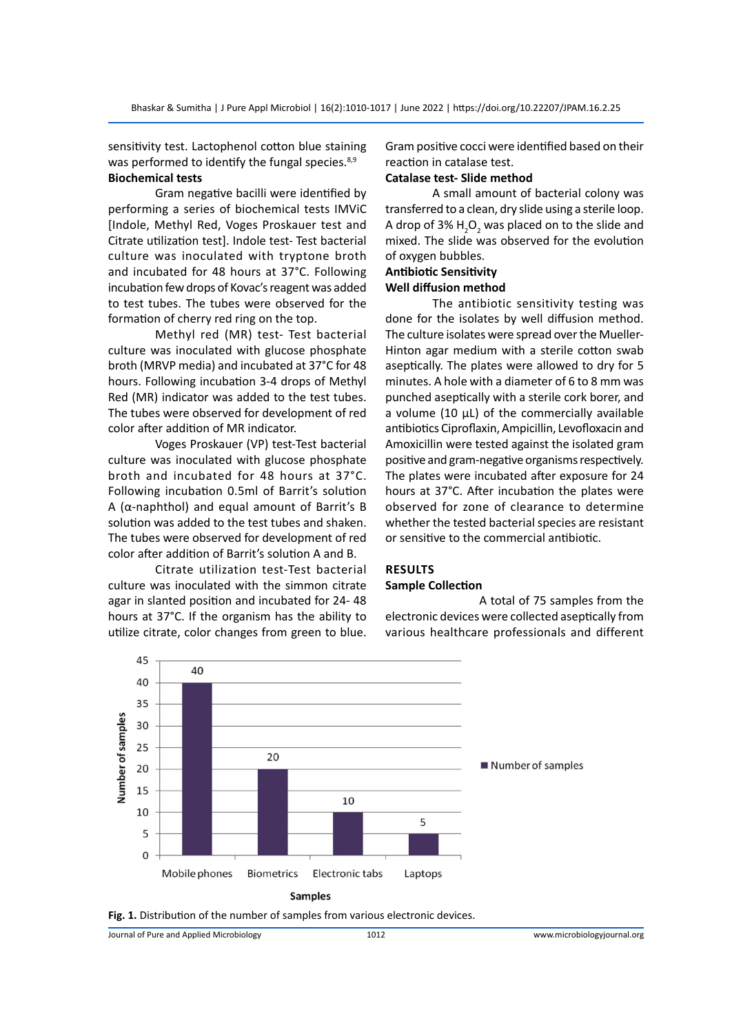sensitivity test. Lactophenol cotton blue staining was performed to identify the fungal species. $8,9$ **Biochemical tests**

Gram negative bacilli were identified by performing a series of biochemical tests IMViC [Indole, Methyl Red, Voges Proskauer test and Citrate utilization test]. Indole test- Test bacterial culture was inoculated with tryptone broth and incubated for 48 hours at 37°C. Following incubation few drops of Kovac's reagent was added to test tubes. The tubes were observed for the formation of cherry red ring on the top.

Methyl red (MR) test- Test bacterial culture was inoculated with glucose phosphate broth (MRVP media) and incubated at 37°C for 48 hours. Following incubation 3-4 drops of Methyl Red (MR) indicator was added to the test tubes. The tubes were observed for development of red color after addition of MR indicator.

Voges Proskauer (VP) test-Test bacterial culture was inoculated with glucose phosphate broth and incubated for 48 hours at 37°C. Following incubation 0.5ml of Barrit's solution A (α-naphthol) and equal amount of Barrit's B solution was added to the test tubes and shaken. The tubes were observed for development of red color after addition of Barrit's solution A and B.

Citrate utilization test-Test bacterial culture was inoculated with the simmon citrate agar in slanted position and incubated for 24- 48 hours at 37°C. If the organism has the ability to utilize citrate, color changes from green to blue.

Gram positive cocci were identified based on their reaction in catalase test.

#### **Catalase test- Slide method**

A small amount of bacterial colony was transferred to a clean, dry slide using a sterile loop. A drop of 3%  $H_2O_2$  was placed on to the slide and mixed. The slide was observed for the evolution of oxygen bubbles.

# **Antibiotic Sensitivity**

# **Well diffusion method**

The antibiotic sensitivity testing was done for the isolates by well diffusion method. The culture isolates were spread over the Mueller-Hinton agar medium with a sterile cotton swab aseptically. The plates were allowed to dry for 5 minutes. A hole with a diameter of 6 to 8 mm was punched aseptically with a sterile cork borer, and a volume (10  $\mu$ L) of the commercially available antibiotics Ciproflaxin, Ampicillin, Levofloxacin and Amoxicillin were tested against the isolated gram positive and gram-negative organisms respectively. The plates were incubated after exposure for 24 hours at 37°C. After incubation the plates were observed for zone of clearance to determine whether the tested bacterial species are resistant or sensitive to the commercial antibiotic.

#### **Results Sample Collection**

A total of 75 samples from the electronic devices were collected aseptically from various healthcare professionals and different



**Fig. 1.** Distribution of the number of samples from various electronic devices.

Journal of Pure and Applied Microbiology 1012 www.microbiologyjournal.org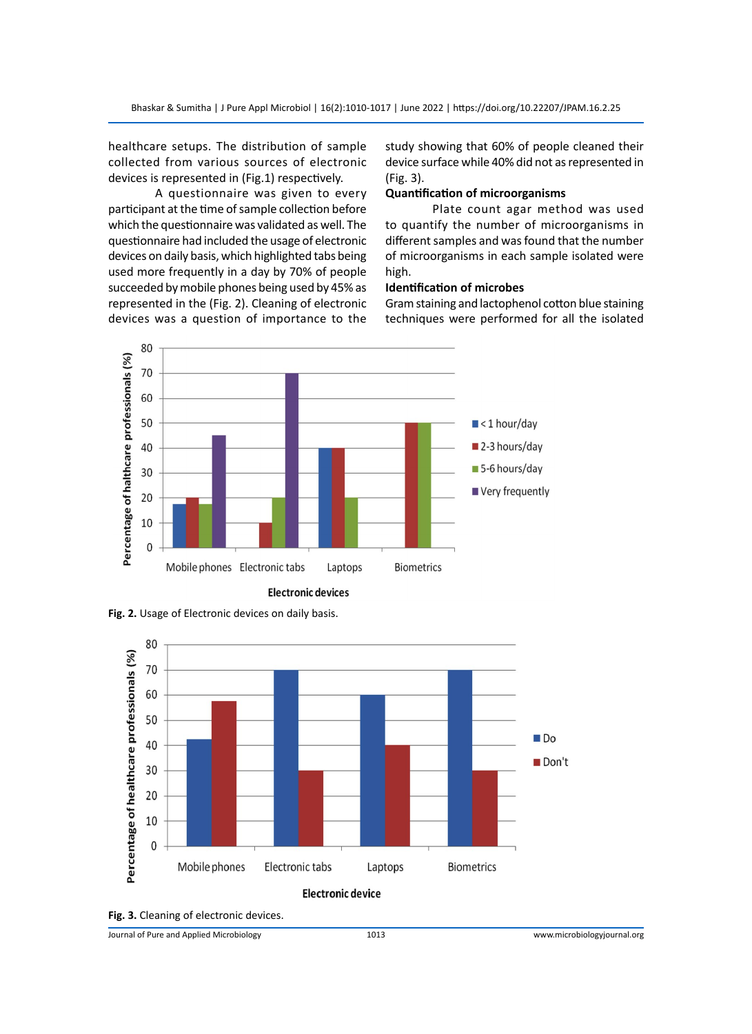healthcare setups. The distribution of sample collected from various sources of electronic devices is represented in (Fig.1) respectively.

A questionnaire was given to every participant at the time of sample collection before which the questionnaire was validated as well. The questionnaire had included the usage of electronic devices on daily basis, which highlighted tabs being used more frequently in a day by 70% of people succeeded by mobile phones being used by 45% as represented in the (Fig. 2). Cleaning of electronic devices was a question of importance to the

study showing that 60% of people cleaned their device surface while 40% did not as represented in (Fig. 3).

#### **Quantification of microorganisms**

Plate count agar method was used to quantify the number of microorganisms in different samples and was found that the number of microorganisms in each sample isolated were high.

#### **Identification of microbes**

Gram staining and lactophenol cotton blue staining techniques were performed for all the isolated



**Fig. 2.** Usage of Electronic devices on daily basis.





Journal of Pure and Applied Microbiology 1013 www.microbiologyjournal.org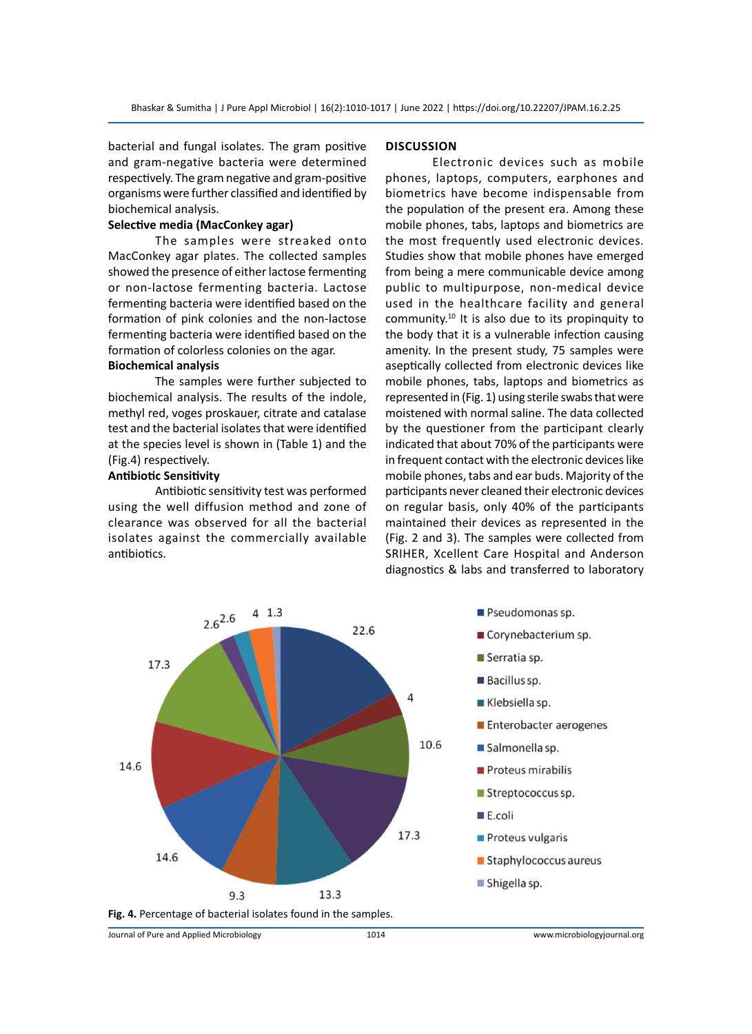bacterial and fungal isolates. The gram positive and gram-negative bacteria were determined respectively. The gram negative and gram-positive organisms were further classified and identified by biochemical analysis.

#### **Selective media (MacConkey agar)**

The samples were streaked onto MacConkey agar plates. The collected samples showed the presence of either lactose fermenting or non-lactose fermenting bacteria. Lactose fermenting bacteria were identified based on the formation of pink colonies and the non-lactose fermenting bacteria were identified based on the formation of colorless colonies on the agar.

### **Biochemical analysis**

The samples were further subjected to biochemical analysis. The results of the indole, methyl red, voges proskauer, citrate and catalase test and the bacterial isolates that were identified at the species level is shown in (Table 1) and the (Fig.4) respectively.

#### **Antibiotic Sensitivity**

Antibiotic sensitivity test was performed using the well diffusion method and zone of clearance was observed for all the bacterial isolates against the commercially available antibiotics.

#### **Discussion**

Electronic devices such as mobile phones, laptops, computers, earphones and biometrics have become indispensable from the population of the present era. Among these mobile phones, tabs, laptops and biometrics are the most frequently used electronic devices. Studies show that mobile phones have emerged from being a mere communicable device among public to multipurpose, non-medical device used in the healthcare facility and general community.<sup>10</sup> It is also due to its propinquity to the body that it is a vulnerable infection causing amenity. In the present study, 75 samples were aseptically collected from electronic devices like mobile phones, tabs, laptops and biometrics as represented in (Fig. 1) using sterile swabs that were moistened with normal saline. The data collected by the questioner from the participant clearly indicated that about 70% of the participants were in frequent contact with the electronic devices like mobile phones, tabs and ear buds. Majority of the participants never cleaned their electronic devices on regular basis, only 40% of the participants maintained their devices as represented in the (Fig. 2 and 3). The samples were collected from SRIHER, Xcellent Care Hospital and Anderson diagnostics & labs and transferred to laboratory

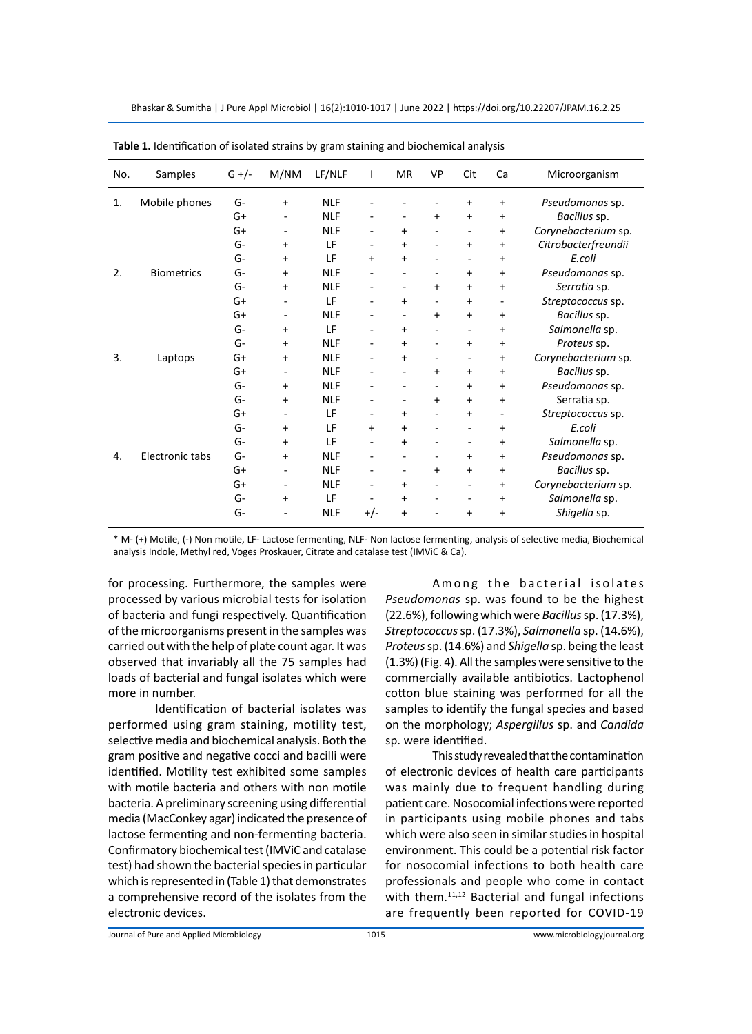Bhaskar & Sumitha | J Pure Appl Microbiol | 16(2):1010-1017 | June 2022 | https://doi.org/10.22207/JPAM.16.2.25

| No. | Samples           | $G +/-$ | M/NM                         | LF/NLF     | L                        | MR                | VP                           | Cit               | Ca                       | Microorganism       |
|-----|-------------------|---------|------------------------------|------------|--------------------------|-------------------|------------------------------|-------------------|--------------------------|---------------------|
| 1.  | Mobile phones     | G-      | $+$                          | <b>NLF</b> |                          |                   |                              | $\ddot{}$         | $\ddot{}$                | Pseudomonas sp.     |
|     |                   | $G+$    |                              | <b>NLF</b> |                          | $\qquad \qquad -$ | $\ddot{}$                    | $+$               | $\ddot{}$                | Bacillus sp.        |
|     |                   | G+      | $\qquad \qquad -$            | <b>NLF</b> |                          | $\ddot{}$         |                              | $\qquad \qquad -$ | $\ddot{}$                | Corynebacterium sp. |
|     |                   | $G-$    | $+$                          | LF         |                          | $\ddot{}$         |                              | $+$               | $\ddot{}$                | Citrobacterfreundii |
|     |                   | $G-$    | $+$                          | LF         | $\ddot{}$                | $\ddot{}$         |                              | $\qquad \qquad -$ | $\ddot{}$                | E.coli              |
| 2.  | <b>Biometrics</b> | G-      | $+$                          | <b>NLF</b> |                          |                   |                              | $\ddot{}$         | $\ddot{}$                | Pseudomonas sp.     |
|     |                   | $G-$    | $\ddot{}$                    | <b>NLF</b> |                          | ٠                 | $\ddot{}$                    | $+$               | $\ddot{}$                | Serratia sp.        |
|     |                   | $G+$    |                              | LF         |                          | $\ddot{}$         | $\qquad \qquad \blacksquare$ | $+$               | $\overline{\phantom{a}}$ | Streptococcus sp.   |
|     |                   | $G+$    | $\qquad \qquad \blacksquare$ | <b>NLF</b> | ٠                        | ٠                 | $\ddot{}$                    | $+$               | $\ddot{}$                | Bacillus sp.        |
|     |                   | $G-$    | $\ddot{}$                    | LF         |                          | $\ddot{}$         | $\overline{\phantom{a}}$     | -                 | $\ddot{}$                | Salmonella sp.      |
|     |                   | G-      | $\ddot{}$                    | <b>NLF</b> | -                        | $+$               | $\overline{a}$               | $\ddot{}$         | $\ddot{}$                | Proteus sp.         |
| 3.  | Laptops           | G+      | $+$                          | <b>NLF</b> |                          | $\ddot{}$         |                              | $\qquad \qquad -$ | $\ddot{}$                | Corynebacterium sp. |
|     |                   | $G+$    | $\overline{\phantom{0}}$     | <b>NLF</b> |                          |                   | +                            | $\ddot{}$         | $\ddot{}$                | Bacillus sp.        |
|     |                   | G-      | $+$                          | <b>NLF</b> |                          |                   | ۰                            | $+$               | $\ddot{}$                | Pseudomonas sp.     |
|     |                   | $G-$    | $\ddot{}$                    | <b>NLF</b> |                          |                   | $\ddot{}$                    | $+$               | $\ddot{}$                | Serratia sp.        |
|     |                   | G+      | $\qquad \qquad -$            | LF         | ٠                        | $\ddot{}$         | ÷,                           | $\ddot{}$         | $\overline{\phantom{a}}$ | Streptococcus sp.   |
|     |                   | G-      | $+$                          | LF         | $\ddot{}$                | $\ddot{}$         |                              |                   | $\ddot{}$                | E.coli              |
|     |                   | $G-$    | $+$                          | LF         | $\overline{\phantom{0}}$ | $\ddot{}$         | ۰                            | $\qquad \qquad -$ | $\ddot{}$                | Salmonella sp.      |
| 4.  | Electronic tabs   | $G-$    | $+$                          | <b>NLF</b> |                          | $\qquad \qquad -$ | $\overline{a}$               | $\ddot{}$         | $\ddot{}$                | Pseudomonas sp.     |
|     |                   | $G+$    |                              | <b>NLF</b> |                          | $\qquad \qquad -$ | $\ddot{}$                    | $+$               | $\ddot{}$                | Bacillus sp.        |
|     |                   | $G+$    |                              | <b>NLF</b> |                          | +                 |                              | $\qquad \qquad -$ | $\ddot{}$                | Corynebacterium sp. |
|     |                   | $G-$    | $\ddot{}$                    | LF         |                          | $\ddot{}$         |                              |                   | $\ddot{}$                | Salmonella sp.      |
|     |                   | $G-$    |                              | <b>NLF</b> | +/-                      | $\ddot{}$         |                              | +                 | $\ddot{}$                | Shigella sp.        |

**Table 1.** Identification of isolated strains by gram staining and biochemical analysis

\* M- (+) Motile, (-) Non motile, LF- Lactose fermenting, NLF- Non lactose fermenting, analysis of selective media, Biochemical analysis Indole, Methyl red, Voges Proskauer, Citrate and catalase test (IMViC & Ca).

for processing. Furthermore, the samples were processed by various microbial tests for isolation of bacteria and fungi respectively. Quantification of the microorganisms present in the samples was carried out with the help of plate count agar. It was observed that invariably all the 75 samples had loads of bacterial and fungal isolates which were more in number.

Identification of bacterial isolates was performed using gram staining, motility test, selective media and biochemical analysis. Both the gram positive and negative cocci and bacilli were identified. Motility test exhibited some samples with motile bacteria and others with non motile bacteria. A preliminary screening using differential media (MacConkey agar) indicated the presence of lactose fermenting and non-fermenting bacteria. Confirmatory biochemical test (IMViC and catalase test) had shown the bacterial species in particular which is represented in (Table 1) that demonstrates a comprehensive record of the isolates from the electronic devices.

Among the bacterial isolates *Pseudomonas* sp. was found to be the highest (22.6%), following which were *Bacillus* sp. (17.3%), *Streptococcus* sp. (17.3%), *Salmonella* sp. (14.6%), *Proteus* sp. (14.6%) and *Shigella* sp. being the least (1.3%) (Fig. 4). All the samples were sensitive to the commercially available antibiotics. Lactophenol cotton blue staining was performed for all the samples to identify the fungal species and based on the morphology; *Aspergillus* sp. and *Candida*  sp. were identified.

This study revealed that the contamination of electronic devices of health care participants was mainly due to frequent handling during patient care. Nosocomial infections were reported in participants using mobile phones and tabs which were also seen in similar studies in hospital environment. This could be a potential risk factor for nosocomial infections to both health care professionals and people who come in contact with them.<sup>11,12</sup> Bacterial and fungal infections are frequently been reported for COVID-19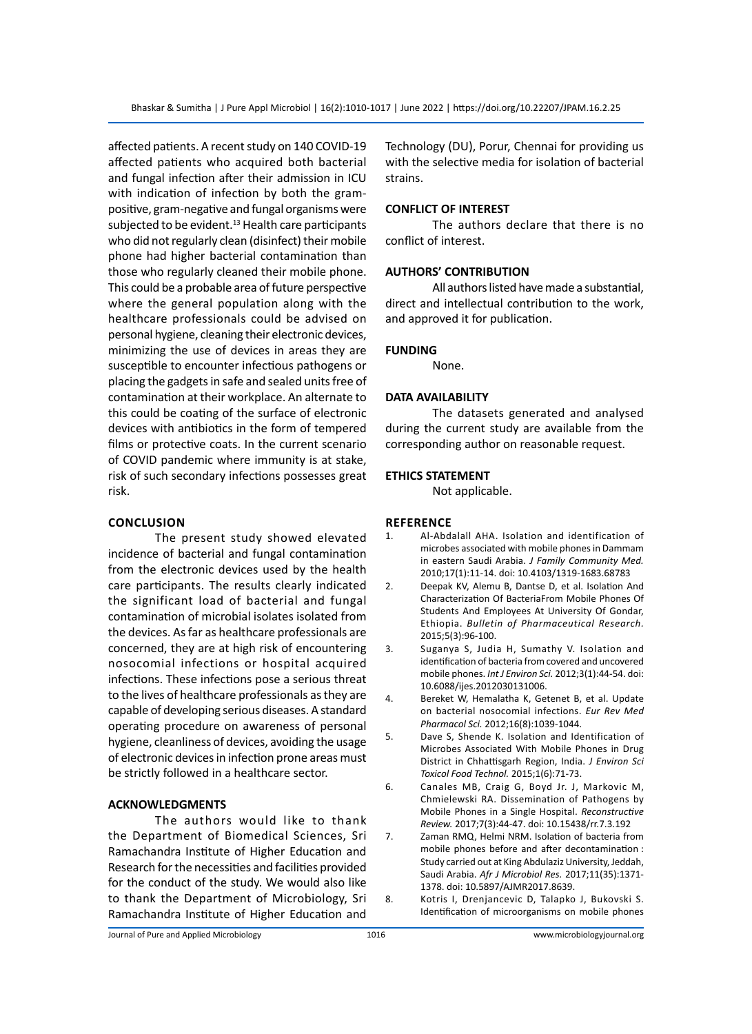affected patients. A recent study on 140 COVID-19 affected patients who acquired both bacterial and fungal infection after their admission in ICU with indication of infection by both the grampositive, gram-negative and fungal organisms were subjected to be evident. $13$  Health care participants who did not regularly clean (disinfect) their mobile phone had higher bacterial contamination than those who regularly cleaned their mobile phone. This could be a probable area of future perspective where the general population along with the healthcare professionals could be advised on personal hygiene, cleaning their electronic devices, minimizing the use of devices in areas they are susceptible to encounter infectious pathogens or placing the gadgets in safe and sealed units free of contamination at their workplace. An alternate to this could be coating of the surface of electronic devices with antibiotics in the form of tempered films or protective coats. In the current scenario of COVID pandemic where immunity is at stake, risk of such secondary infections possesses great risk.

#### **Conclusion**

The present study showed elevated incidence of bacterial and fungal contamination from the electronic devices used by the health care participants. The results clearly indicated the significant load of bacterial and fungal contamination of microbial isolates isolated from the devices. As far as healthcare professionals are concerned, they are at high risk of encountering nosocomial infections or hospital acquired infections. These infections pose a serious threat to the lives of healthcare professionals as they are capable of developing serious diseases. A standard operating procedure on awareness of personal hygiene, cleanliness of devices, avoiding the usage of electronic devices in infection prone areas must be strictly followed in a healthcare sector.

#### **ACKNOWLEDGMENTS**

The authors would like to thank the Department of Biomedical Sciences, Sri Ramachandra Institute of Higher Education and Research for the necessities and facilities provided for the conduct of the study. We would also like to thank the Department of Microbiology, Sri Ramachandra Institute of Higher Education and Technology (DU), Porur, Chennai for providing us with the selective media for isolation of bacterial strains.

#### **CONFLICT OF INTEREST**

The authors declare that there is no conflict of interest.

#### **AUTHORS' CONTRIBUTION**

All authors listed have made a substantial, direct and intellectual contribution to the work, and approved it for publication.

#### **FUNDING**

None.

#### **DATA AVAILABILITY**

The datasets generated and analysed during the current study are available from the corresponding author on reasonable request.

#### **ETHICS STATEMENT**

Not applicable.

#### **Reference**

- 1. Al-Abdalall AHA. Isolation and identification of microbes associated with mobile phones in Dammam in eastern Saudi Arabia. *J Family Community Med.* 2010;17(1):11-14. doi: 10.4103/1319-1683.68783
- 2. Deepak KV, Alemu B, Dantse D, et al. Isolation And Characterization Of BacteriaFrom Mobile Phones Of Students And Employees At University Of Gondar, Ethiopia. *Bulletin of Pharmaceutical Research.* 2015;5(3):96-100.
- 3. Suganya S, Judia H, Sumathy V. Isolation and identification of bacteria from covered and uncovered mobile phones. *Int J Environ Sci.* 2012;3(1):44-54. doi: 10.6088/ijes.2012030131006.
- 4. Bereket W, Hemalatha K, Getenet B, et al. Update on bacterial nosocomial infections. *Eur Rev Med Pharmacol Sci.* 2012;16(8):1039-1044.
- 5. Dave S, Shende K. Isolation and Identification of Microbes Associated With Mobile Phones in Drug District in Chhattisgarh Region, India. *J Environ Sci Toxicol Food Technol.* 2015;1(6):71-73.
- 6. Canales MB, Craig G, Boyd Jr. J, Markovic M, Chmielewski RA. Dissemination of Pathogens by Mobile Phones in a Single Hospital. *Reconstructive Review.* 2017;7(3):44-47. doi: 10.15438/rr.7.3.192
- 7. Zaman RMQ, Helmi NRM. Isolation of bacteria from mobile phones before and after decontamination : Study carried out at King Abdulaziz University, Jeddah, Saudi Arabia. *Afr J Microbiol Res.* 2017;11(35):1371- 1378. doi: 10.5897/AJMR2017.8639.
- 8. Kotris I, Drenjancevic D, Talapko J, Bukovski S. Identification of microorganisms on mobile phones